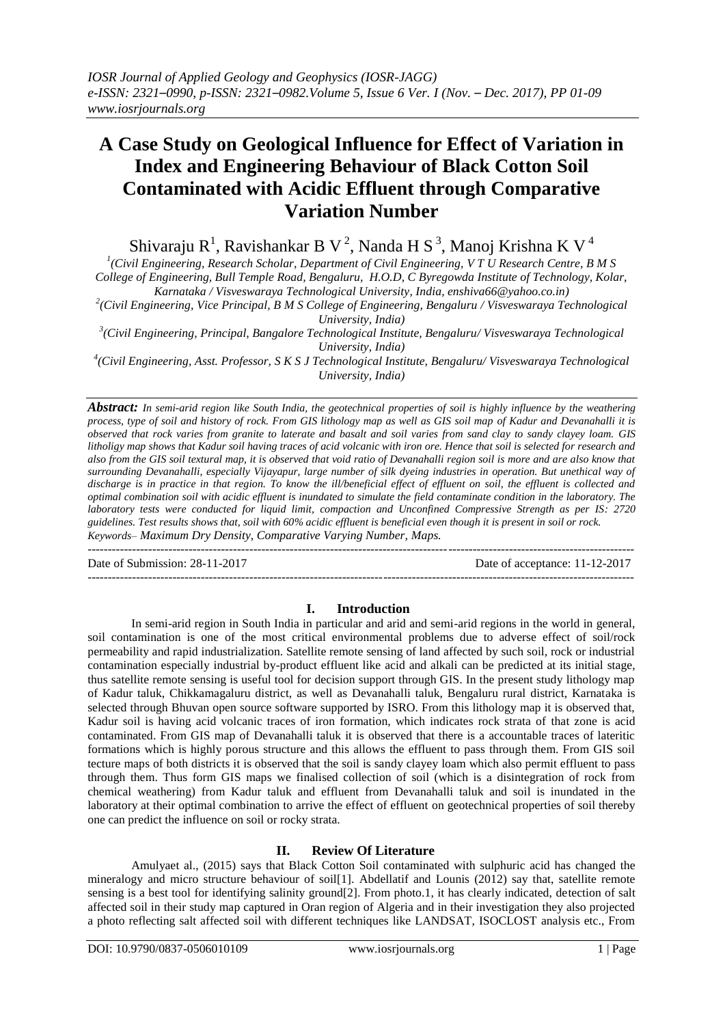# **A Case Study on Geological Influence for Effect of Variation in Index and Engineering Behaviour of Black Cotton Soil Contaminated with Acidic Effluent through Comparative Variation Number**

Shivaraju R<sup>1</sup>, Ravishankar B V<sup>2</sup>, Nanda H S<sup>3</sup>, Manoj Krishna K V<sup>4</sup>

*1 (Civil Engineering, Research Scholar, Department of Civil Engineering, V T U Research Centre, B M S College of Engineering, Bull Temple Road, Bengaluru, H.O.D, C Byregowda Institute of Technology, Kolar,*

*Karnataka / Visveswaraya Technological University, India, enshiva66@yahoo.co.in)*

*2 (Civil Engineering, Vice Principal, B M S College of Engineering, Bengaluru / Visveswaraya Technological University, India)*

*3 (Civil Engineering, Principal, Bangalore Technological Institute, Bengaluru/ Visveswaraya Technological University, India)*

*4 (Civil Engineering, Asst. Professor, S K S J Technological Institute, Bengaluru/ Visveswaraya Technological University, India)*

*Abstract: In semi-arid region like South India, the geotechnical properties of soil is highly influence by the weathering process, type of soil and history of rock. From GIS lithology map as well as GIS soil map of Kadur and Devanahalli it is observed that rock varies from granite to laterate and basalt and soil varies from sand clay to sandy clayey loam. GIS litholigy map shows that Kadur soil having traces of acid volcanic with iron ore. Hence that soil is selected for research and also from the GIS soil textural map, it is observed that void ratio of Devanahalli region soil is more and are also know that surrounding Devanahalli, especially Vijayapur, large number of silk dyeing industries in operation. But unethical way of discharge is in practice in that region. To know the ill/beneficial effect of effluent on soil, the effluent is collected and optimal combination soil with acidic effluent is inundated to simulate the field contaminate condition in the laboratory. The laboratory tests were conducted for liquid limit, compaction and Unconfined Compressive Strength as per IS: 2720 guidelines. Test results shows that, soil with 60% acidic effluent is beneficial even though it is present in soil or rock. Keywords– Maximum Dry Density, Comparative Varying Number, Maps.* ---------------------------------------------------------------------------------------------------------------------------------------

Date of Submission: 28-11-2017 Date of acceptance: 11-12-2017

# **I. Introduction**

---------------------------------------------------------------------------------------------------------------------------------------

In semi-arid region in South India in particular and arid and semi-arid regions in the world in general, soil contamination is one of the most critical environmental problems due to adverse effect of soil/rock permeability and rapid industrialization. Satellite remote sensing of land affected by such soil, rock or industrial contamination especially industrial by-product effluent like acid and alkali can be predicted at its initial stage, thus satellite remote sensing is useful tool for decision support through GIS. In the present study lithology map of Kadur taluk, Chikkamagaluru district, as well as Devanahalli taluk, Bengaluru rural district, Karnataka is selected through Bhuvan open source software supported by ISRO. From this lithology map it is observed that, Kadur soil is having acid volcanic traces of iron formation, which indicates rock strata of that zone is acid contaminated. From GIS map of Devanahalli taluk it is observed that there is a accountable traces of lateritic formations which is highly porous structure and this allows the effluent to pass through them. From GIS soil tecture maps of both districts it is observed that the soil is sandy clayey loam which also permit effluent to pass through them. Thus form GIS maps we finalised collection of soil (which is a disintegration of rock from chemical weathering) from Kadur taluk and effluent from Devanahalli taluk and soil is inundated in the laboratory at their optimal combination to arrive the effect of effluent on geotechnical properties of soil thereby one can predict the influence on soil or rocky strata.

# **II. Review Of Literature**

Amulyaet al., (2015) says that Black Cotton Soil contaminated with sulphuric acid has changed the mineralogy and micro structure behaviour of soil[1]. Abdellatif and Lounis (2012) say that, satellite remote sensing is a best tool for identifying salinity ground[2]. From photo.1, it has clearly indicated, detection of salt affected soil in their study map captured in Oran region of Algeria and in their investigation they also projected a photo reflecting salt affected soil with different techniques like LANDSAT, ISOCLOST analysis etc., From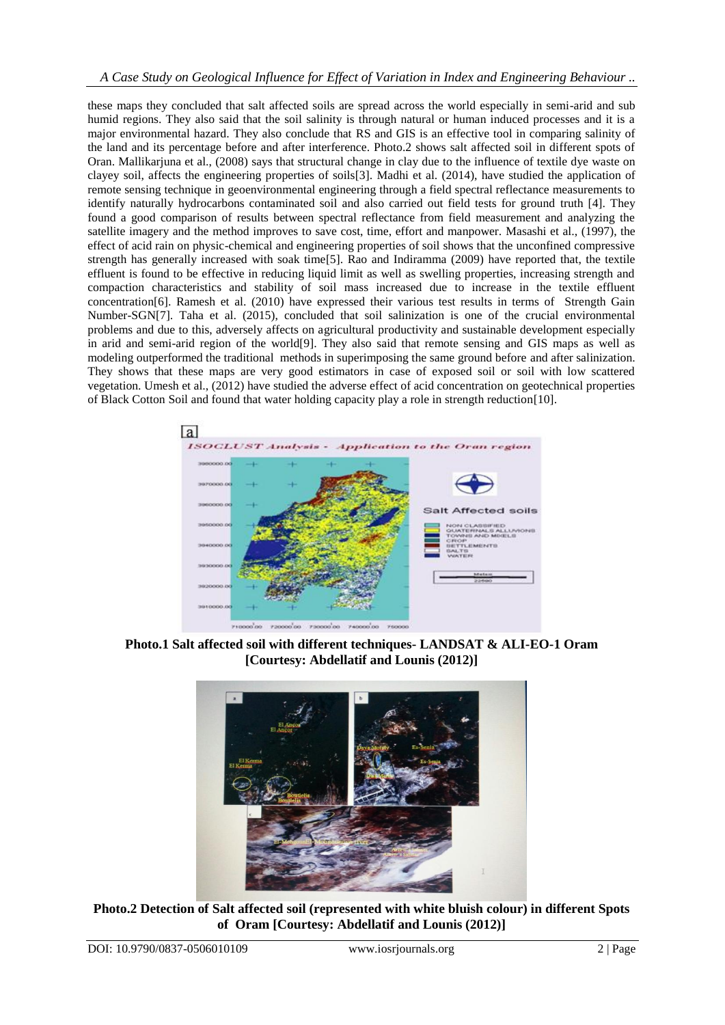these maps they concluded that salt affected soils are spread across the world especially in semi-arid and sub humid regions. They also said that the soil salinity is through natural or human induced processes and it is a major environmental hazard. They also conclude that RS and GIS is an effective tool in comparing salinity of the land and its percentage before and after interference. Photo.2 shows salt affected soil in different spots of Oran. Mallikarjuna et al., (2008) says that structural change in clay due to the influence of textile dye waste on clayey soil, affects the engineering properties of soils[3]. Madhi et al. (2014), have studied the application of remote sensing technique in geoenvironmental engineering through a field spectral reflectance measurements to identify naturally hydrocarbons contaminated soil and also carried out field tests for ground truth [4]. They found a good comparison of results between spectral reflectance from field measurement and analyzing the satellite imagery and the method improves to save cost, time, effort and manpower. Masashi et al., (1997), the effect of acid rain on physic-chemical and engineering properties of soil shows that the unconfined compressive strength has generally increased with soak time[5]. Rao and Indiramma (2009) have reported that, the textile effluent is found to be effective in reducing liquid limit as well as swelling properties, increasing strength and compaction characteristics and stability of soil mass increased due to increase in the textile effluent concentration[6]. Ramesh et al. (2010) have expressed their various test results in terms of Strength Gain Number-SGN[7]. Taha et al. (2015), concluded that soil salinization is one of the crucial environmental problems and due to this, adversely affects on agricultural productivity and sustainable development especially in arid and semi-arid region of the world[9]. They also said that remote sensing and GIS maps as well as modeling outperformed the traditional methods in superimposing the same ground before and after salinization. They shows that these maps are very good estimators in case of exposed soil or soil with low scattered vegetation. Umesh et al., (2012) have studied the adverse effect of acid concentration on geotechnical properties of Black Cotton Soil and found that water holding capacity play a role in strength reduction[10].



**Photo.1 Salt affected soil with different techniques- LANDSAT & ALI-EO-1 Oram [Courtesy: Abdellatif and Lounis (2012)]**



**Photo.2 Detection of Salt affected soil (represented with white bluish colour) in different Spots of Oram [Courtesy: Abdellatif and Lounis (2012)]**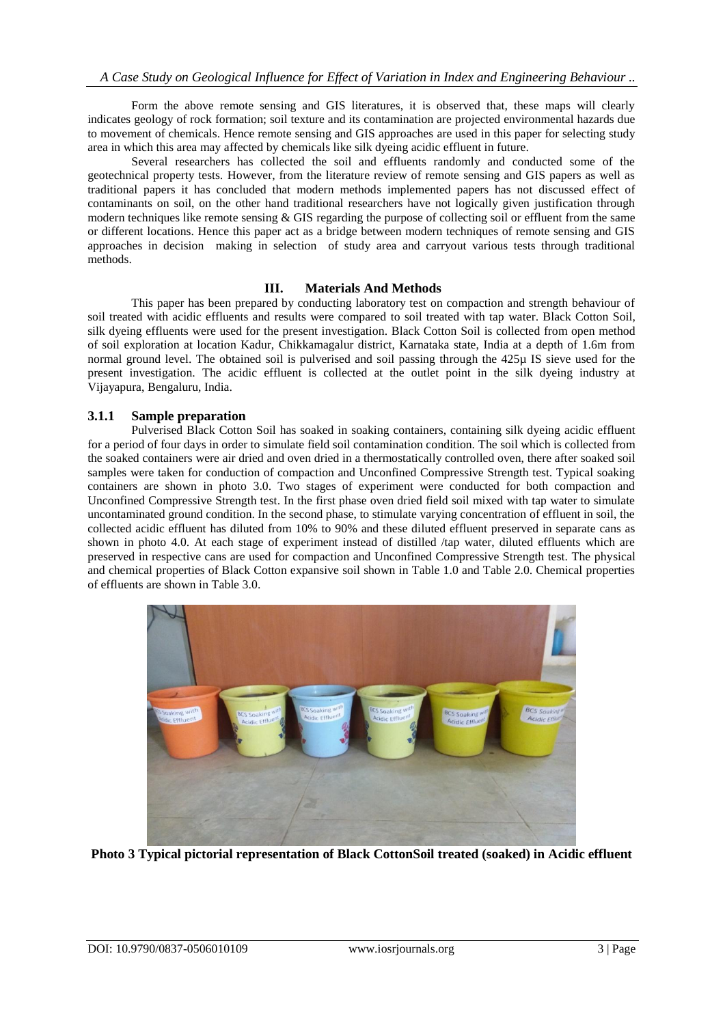Form the above remote sensing and GIS literatures, it is observed that, these maps will clearly indicates geology of rock formation; soil texture and its contamination are projected environmental hazards due to movement of chemicals. Hence remote sensing and GIS approaches are used in this paper for selecting study area in which this area may affected by chemicals like silk dyeing acidic effluent in future.

Several researchers has collected the soil and effluents randomly and conducted some of the geotechnical property tests. However, from the literature review of remote sensing and GIS papers as well as traditional papers it has concluded that modern methods implemented papers has not discussed effect of contaminants on soil, on the other hand traditional researchers have not logically given justification through modern techniques like remote sensing & GIS regarding the purpose of collecting soil or effluent from the same or different locations. Hence this paper act as a bridge between modern techniques of remote sensing and GIS approaches in decision making in selection of study area and carryout various tests through traditional methods.

# **III. Materials And Methods**

This paper has been prepared by conducting laboratory test on compaction and strength behaviour of soil treated with acidic effluents and results were compared to soil treated with tap water. Black Cotton Soil, silk dyeing effluents were used for the present investigation. Black Cotton Soil is collected from open method of soil exploration at location Kadur, Chikkamagalur district, Karnataka state, India at a depth of 1.6m from normal ground level. The obtained soil is pulverised and soil passing through the 425µ IS sieve used for the present investigation. The acidic effluent is collected at the outlet point in the silk dyeing industry at Vijayapura, Bengaluru, India.

# **3.1.1 Sample preparation**

Pulverised Black Cotton Soil has soaked in soaking containers, containing silk dyeing acidic effluent for a period of four days in order to simulate field soil contamination condition. The soil which is collected from the soaked containers were air dried and oven dried in a thermostatically controlled oven, there after soaked soil samples were taken for conduction of compaction and Unconfined Compressive Strength test. Typical soaking containers are shown in photo 3.0. Two stages of experiment were conducted for both compaction and Unconfined Compressive Strength test. In the first phase oven dried field soil mixed with tap water to simulate uncontaminated ground condition. In the second phase, to stimulate varying concentration of effluent in soil, the collected acidic effluent has diluted from 10% to 90% and these diluted effluent preserved in separate cans as shown in photo 4.0. At each stage of experiment instead of distilled /tap water, diluted effluents which are preserved in respective cans are used for compaction and Unconfined Compressive Strength test. The physical and chemical properties of Black Cotton expansive soil shown in Table 1.0 and Table 2.0. Chemical properties of effluents are shown in Table 3.0.



**Photo 3 Typical pictorial representation of Black CottonSoil treated (soaked) in Acidic effluent**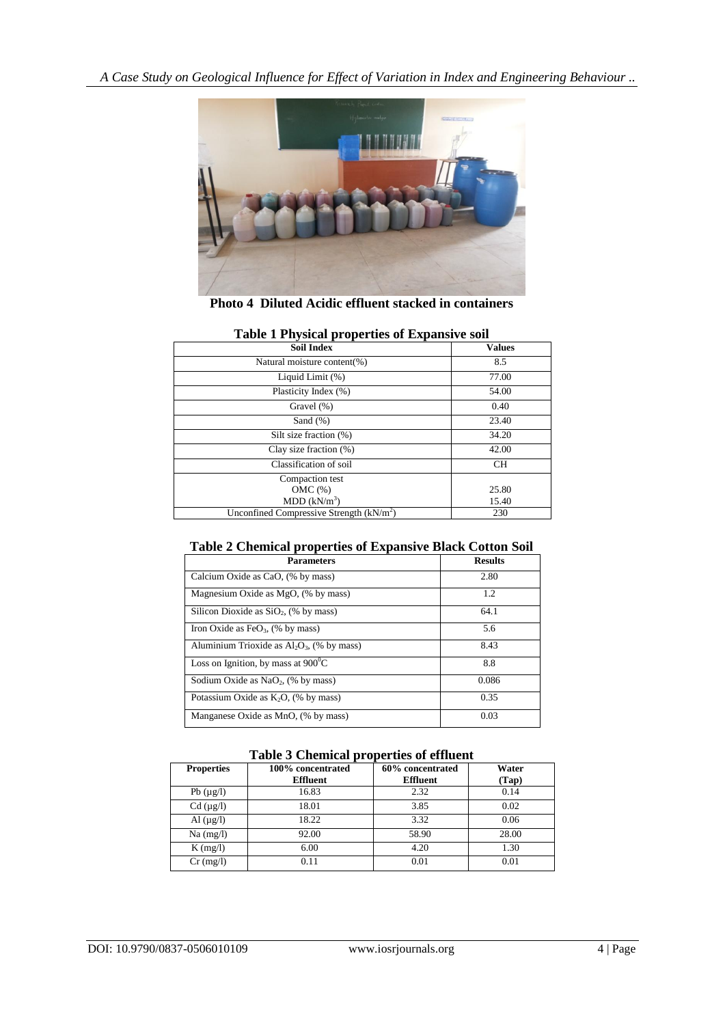*A Case Study on Geological Influence for Effect of Variation in Index and Engineering Behaviour ..*



**Photo 4 Diluted Acidic effluent stacked in containers**

| Table I Physical properties of expansive soll |               |  |
|-----------------------------------------------|---------------|--|
| <b>Soil Index</b>                             | <b>Values</b> |  |
| Natural moisture content(%)                   | 8.5           |  |
| Liquid Limit (%)                              | 77.00         |  |
| Plasticity Index (%)                          | 54.00         |  |
| Gravel $(\%)$                                 | 0.40          |  |
| Sand $(\%)$                                   | 23.40         |  |
| Silt size fraction (%)                        | 34.20         |  |
| Clay size fraction $(\%)$                     | 42.00         |  |
| Classification of soil                        | <b>CH</b>     |  |
| Compaction test                               |               |  |
| OMC(%)                                        | 25.80         |  |
| MDD (kN/m <sup>3</sup> )                      | 15.40         |  |
| Unconfined Compressive Strength $(kN/m2)$     | 230           |  |

# **Table 1 Physical properties of Expansive soil**

# **Table 2 Chemical properties of Expansive Black Cotton Soil**

| <b>Parameters</b>                                 | <b>Results</b> |
|---------------------------------------------------|----------------|
| Calcium Oxide as CaO, (% by mass)                 | 2.80           |
| Magnesium Oxide as MgO, (% by mass)               | 1.2            |
| Silicon Dioxide as $SiO2$ , (% by mass)           | 64.1           |
| Iron Oxide as FeO <sub>3</sub> , $(\%$ by mass)   | 5.6            |
| Aluminium Trioxide as $Al_2O_3$ , (% by mass)     | 8.43           |
| Loss on Ignition, by mass at $900^{\circ}$ C      | 8.8            |
| Sodium Oxide as NaO <sub>2</sub> , $(\%$ by mass) | 0.086          |
| Potassium Oxide as $K_2O$ , (% by mass)           | 0.35           |
| Manganese Oxide as MnO, (% by mass)               | 0.03           |

#### **Table 3 Chemical properties of effluent**

| <b>Properties</b> | 100% concentrated<br><b>Effluent</b> | 60% concentrated<br><b>Effluent</b> | Water<br>(Tap) |
|-------------------|--------------------------------------|-------------------------------------|----------------|
| Pb $(\mu g/l)$    | 16.83                                | 2.32                                | 0.14           |
| $Cd$ ( $\mu$ g/l) | 18.01                                | 3.85                                | 0.02           |
| Al $(\mu g/l)$    | 18.22                                | 3.32                                | 0.06           |
| $Na$ (mg/l)       | 92.00                                | 58.90                               | 28.00          |
| $K$ (mg/l)        | 6.00                                 | 4.20                                | 1.30           |
| $Cr$ (mg/l)       | 0.11                                 | 0.01                                | 0.01           |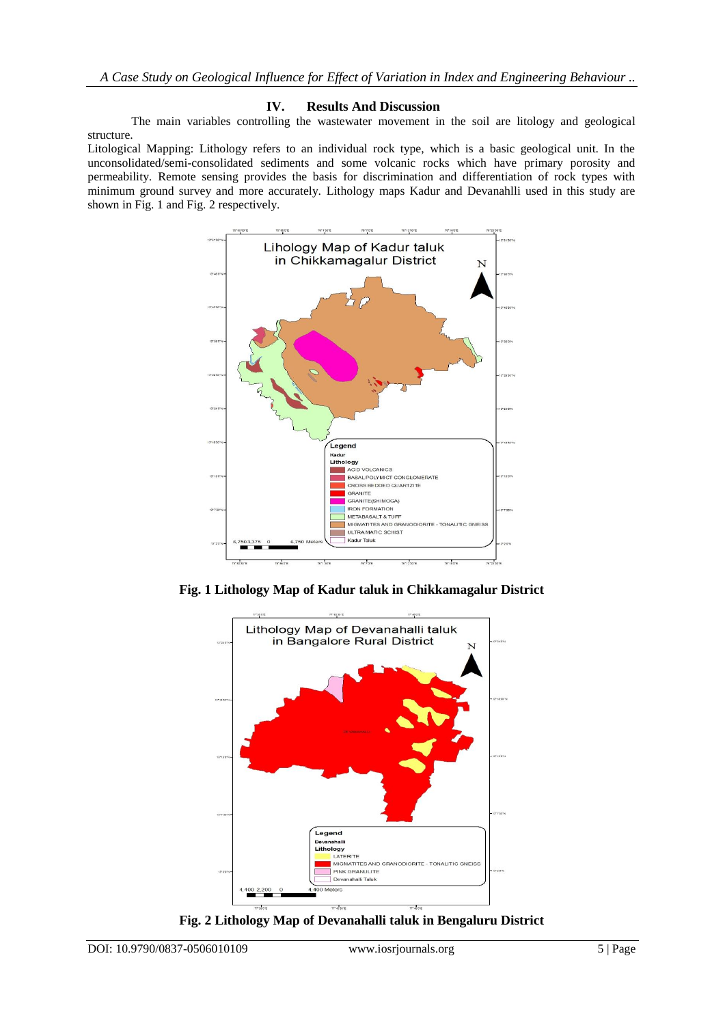# **IV. Results And Discussion**

The main variables controlling the wastewater movement in the soil are litology and geological structure.

Litological Mapping: Lithology refers to an individual rock type, which is a basic geological unit. In the unconsolidated/semi-consolidated sediments and some volcanic rocks which have primary porosity and permeability. Remote sensing provides the basis for discrimination and differentiation of rock types with minimum ground survey and more accurately. Lithology maps Kadur and Devanahlli used in this study are shown in Fig. 1 and Fig. 2 respectively.



**Fig. 1 Lithology Map of Kadur taluk in Chikkamagalur District**



**Fig. 2 Lithology Map of Devanahalli taluk in Bengaluru District**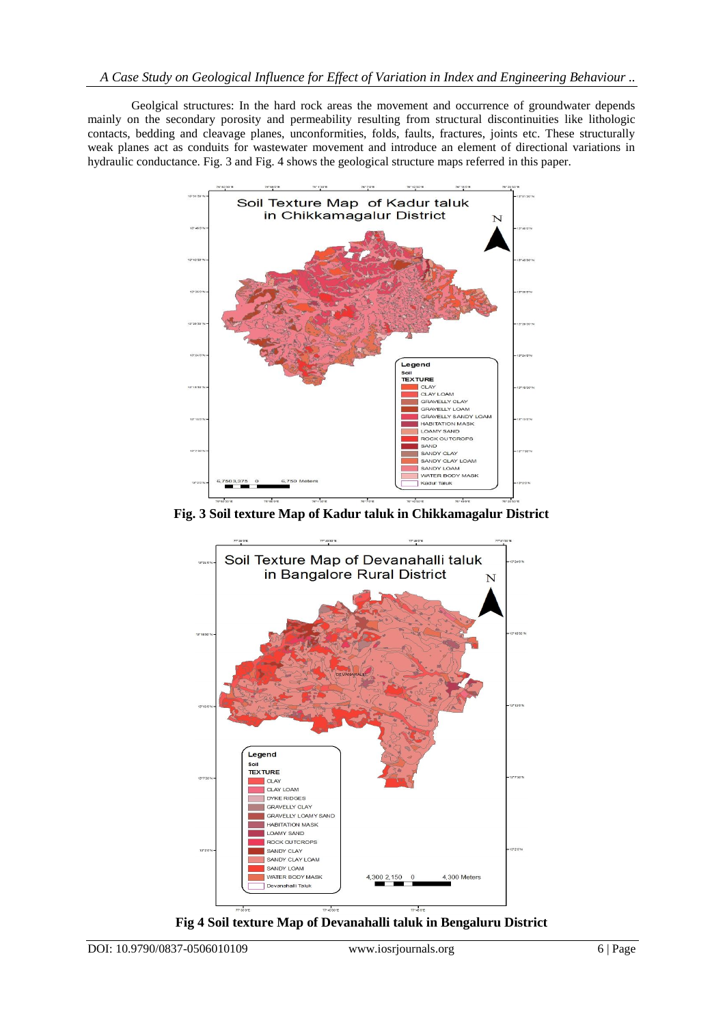Geolgical structures: In the hard rock areas the movement and occurrence of groundwater depends mainly on the secondary porosity and permeability resulting from structural discontinuities like lithologic contacts, bedding and cleavage planes, unconformities, folds, faults, fractures, joints etc. These structurally weak planes act as conduits for wastewater movement and introduce an element of directional variations in hydraulic conductance. Fig. 3 and Fig. 4 shows the geological structure maps referred in this paper.



**Fig. 3 Soil texture Map of Kadur taluk in Chikkamagalur District**



**Fig 4 Soil texture Map of Devanahalli taluk in Bengaluru District**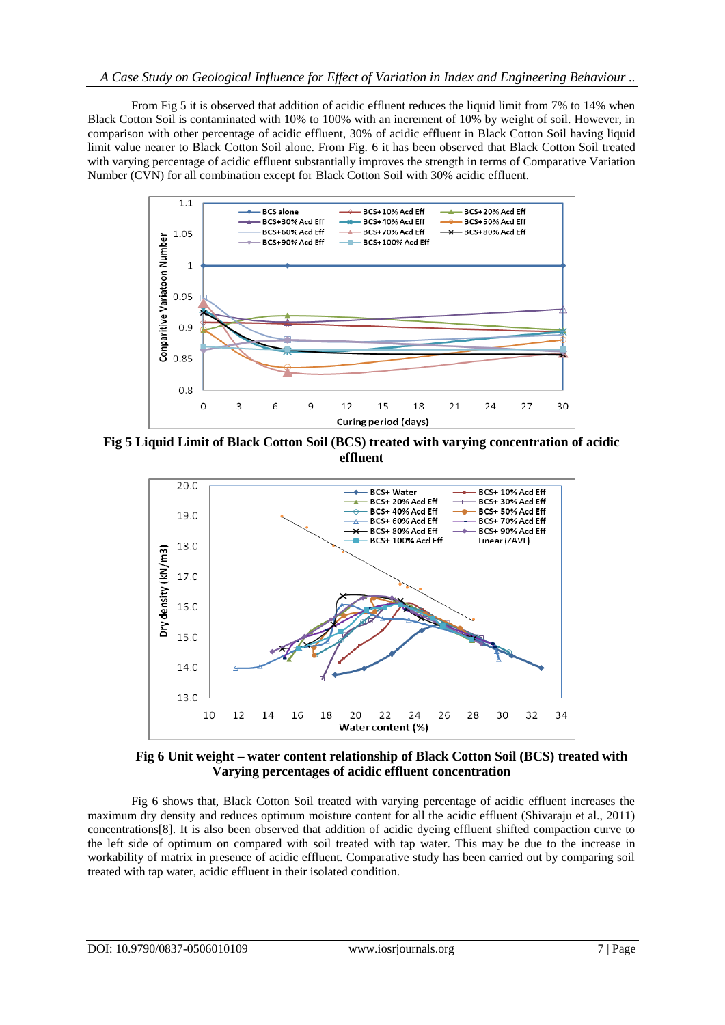From Fig 5 it is observed that addition of acidic effluent reduces the liquid limit from 7% to 14% when Black Cotton Soil is contaminated with 10% to 100% with an increment of 10% by weight of soil. However, in comparison with other percentage of acidic effluent, 30% of acidic effluent in Black Cotton Soil having liquid limit value nearer to Black Cotton Soil alone. From Fig. 6 it has been observed that Black Cotton Soil treated with varying percentage of acidic effluent substantially improves the strength in terms of Comparative Variation Number (CVN) for all combination except for Black Cotton Soil with 30% acidic effluent.



**Fig 5 Liquid Limit of Black Cotton Soil (BCS) treated with varying concentration of acidic effluent** 



 **Fig 6 Unit weight – water content relationship of Black Cotton Soil (BCS) treated with Varying percentages of acidic effluent concentration**

Fig 6 shows that, Black Cotton Soil treated with varying percentage of acidic effluent increases the maximum dry density and reduces optimum moisture content for all the acidic effluent (Shivaraju et al., 2011) concentrations[8]. It is also been observed that addition of acidic dyeing effluent shifted compaction curve to the left side of optimum on compared with soil treated with tap water. This may be due to the increase in workability of matrix in presence of acidic effluent. Comparative study has been carried out by comparing soil treated with tap water, acidic effluent in their isolated condition.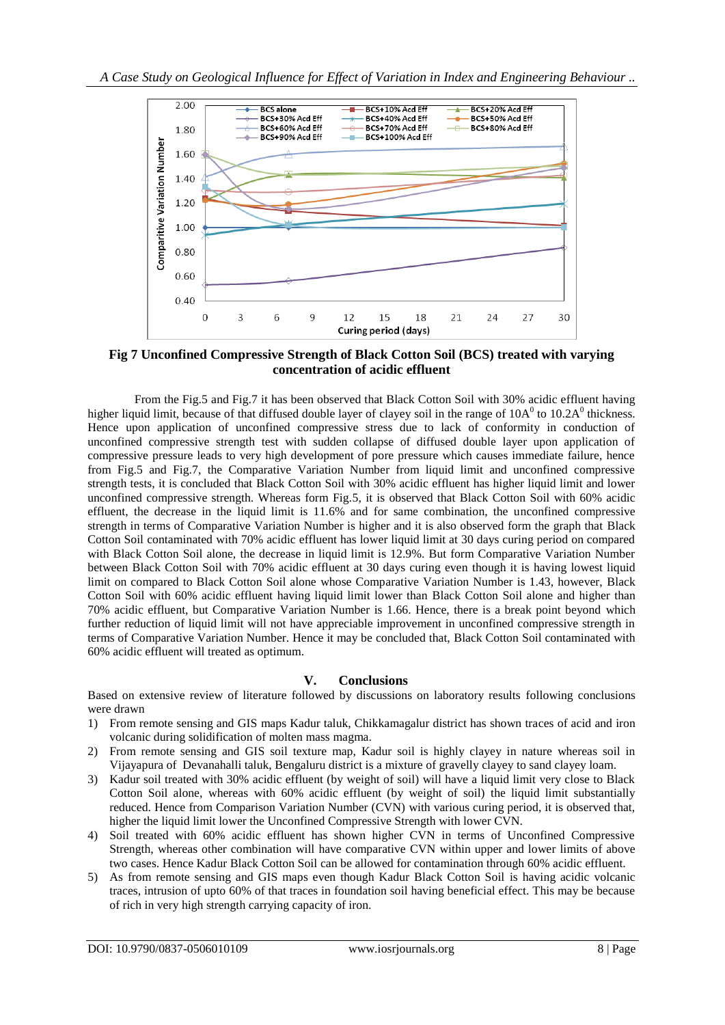

**Fig 7 Unconfined Compressive Strength of Black Cotton Soil (BCS) treated with varying concentration of acidic effluent**

 From the Fig.5 and Fig.7 it has been observed that Black Cotton Soil with 30% acidic effluent having higher liquid limit, because of that diffused double layer of clayey soil in the range of  $10A<sup>0</sup>$  to  $10.2A<sup>0</sup>$  thickness. Hence upon application of unconfined compressive stress due to lack of conformity in conduction of unconfined compressive strength test with sudden collapse of diffused double layer upon application of compressive pressure leads to very high development of pore pressure which causes immediate failure, hence from Fig.5 and Fig.7, the Comparative Variation Number from liquid limit and unconfined compressive strength tests, it is concluded that Black Cotton Soil with 30% acidic effluent has higher liquid limit and lower unconfined compressive strength. Whereas form Fig.5, it is observed that Black Cotton Soil with 60% acidic effluent, the decrease in the liquid limit is 11.6% and for same combination, the unconfined compressive strength in terms of Comparative Variation Number is higher and it is also observed form the graph that Black Cotton Soil contaminated with 70% acidic effluent has lower liquid limit at 30 days curing period on compared with Black Cotton Soil alone, the decrease in liquid limit is 12.9%. But form Comparative Variation Number between Black Cotton Soil with 70% acidic effluent at 30 days curing even though it is having lowest liquid limit on compared to Black Cotton Soil alone whose Comparative Variation Number is 1.43, however, Black Cotton Soil with 60% acidic effluent having liquid limit lower than Black Cotton Soil alone and higher than 70% acidic effluent, but Comparative Variation Number is 1.66. Hence, there is a break point beyond which further reduction of liquid limit will not have appreciable improvement in unconfined compressive strength in terms of Comparative Variation Number. Hence it may be concluded that, Black Cotton Soil contaminated with 60% acidic effluent will treated as optimum.

#### **V. Conclusions**

Based on extensive review of literature followed by discussions on laboratory results following conclusions were drawn

- 1) From remote sensing and GIS maps Kadur taluk, Chikkamagalur district has shown traces of acid and iron volcanic during solidification of molten mass magma.
- 2) From remote sensing and GIS soil texture map, Kadur soil is highly clayey in nature whereas soil in Vijayapura of Devanahalli taluk, Bengaluru district is a mixture of gravelly clayey to sand clayey loam.
- 3) Kadur soil treated with 30% acidic effluent (by weight of soil) will have a liquid limit very close to Black Cotton Soil alone, whereas with 60% acidic effluent (by weight of soil) the liquid limit substantially reduced. Hence from Comparison Variation Number (CVN) with various curing period, it is observed that, higher the liquid limit lower the Unconfined Compressive Strength with lower CVN.
- 4) Soil treated with 60% acidic effluent has shown higher CVN in terms of Unconfined Compressive Strength, whereas other combination will have comparative CVN within upper and lower limits of above two cases. Hence Kadur Black Cotton Soil can be allowed for contamination through 60% acidic effluent.
- 5) As from remote sensing and GIS maps even though Kadur Black Cotton Soil is having acidic volcanic traces, intrusion of upto 60% of that traces in foundation soil having beneficial effect. This may be because of rich in very high strength carrying capacity of iron.